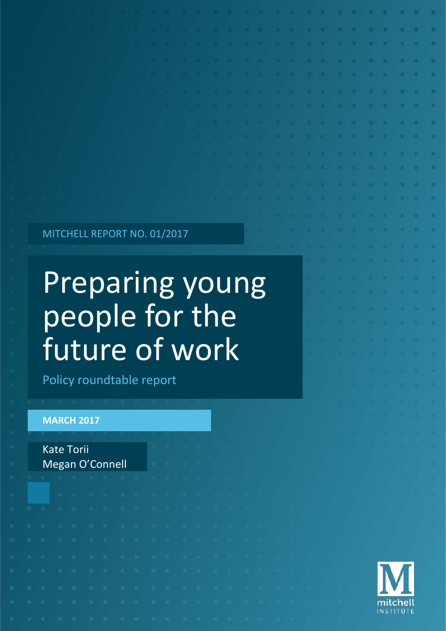MITCHELL REPORT NO. 01/2017

# Preparing young people for the future of work

Policy roundtable report

#### **MARCH 2017**

Kate Torii Megan O'Connell

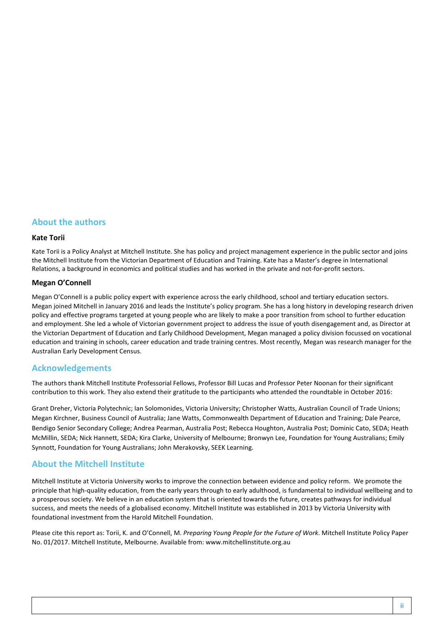#### **About the authors**

#### **Kate Torii**

Kate Torii is a Policy Analyst at Mitchell Institute. She has policy and project management experience in the public sector and joins the Mitchell Institute from the Victorian Department of Education and Training. Kate has a Master's degree in International Relations, a background in economics and political studies and has worked in the private and not-for-profit sectors.

#### **Megan O'Connell**

Megan O'Connell is a public policy expert with experience across the early childhood, school and tertiary education sectors. Megan joined Mitchell in January 2016 and leads the Institute's policy program. She has a long history in developing research driven policy and effective programs targeted at young people who are likely to make a poor transition from school to further education and employment. She led a whole of Victorian government project to address the issue of youth disengagement and, as Director at the Victorian Department of Education and Early Childhood Development, Megan managed a policy division focussed on vocational education and training in schools, career education and trade training centres. Most recently, Megan was research manager for the Australian Early Development Census.

#### **Acknowledgements**

The authors thank Mitchell Institute Professorial Fellows, Professor Bill Lucas and Professor Peter Noonan for their significant contribution to this work. They also extend their gratitude to the participants who attended the roundtable in October 2016:

Grant Dreher, Victoria Polytechnic; Ian Solomonides, Victoria University; Christopher Watts, Australian Council of Trade Unions; Megan Kirchner, Business Council of Australia; Jane Watts, Commonwealth Department of Education and Training; Dale Pearce, Bendigo Senior Secondary College; Andrea Pearman, Australia Post; Rebecca Houghton, Australia Post; Dominic Cato, SEDA; Heath McMillin, SEDA; Nick Hannett, SEDA; Kira Clarke, University of Melbourne; Bronwyn Lee, Foundation for Young Australians; Emily Synnott, Foundation for Young Australians; John Merakovsky, SEEK Learning.

#### **About the Mitchell Institute**

Mitchell Institute at Victoria University works to improve the connection between evidence and policy reform. We promote the principle that high-quality education, from the early years through to early adulthood, is fundamental to individual wellbeing and to a prosperous society. We believe in an education system that is oriented towards the future, creates pathways for individual success, and meets the needs of a globalised economy. Mitchell Institute was established in 2013 by Victoria University with foundational investment from the Harold Mitchell Foundation.

Please cite this report as: Torii, K. and O'Connell, M. *Preparing Young People for the Future of Work*. Mitchell Institute Policy Paper No. 01/2017. Mitchell Institute, Melbourne. Available from[: www.mitchellinstitute.org.au](http://www.mitchellinstitute.org.au/)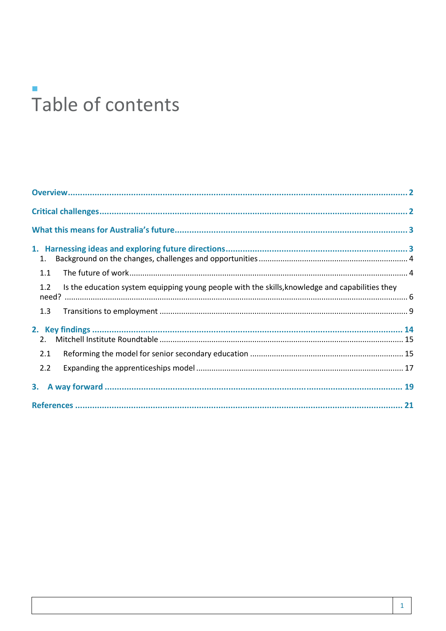# Table of contents

| 1.                                                                                                     |  |
|--------------------------------------------------------------------------------------------------------|--|
| 1.1                                                                                                    |  |
| Is the education system equipping young people with the skills, knowledge and capabilities they<br>1.2 |  |
| 1.3                                                                                                    |  |
|                                                                                                        |  |
|                                                                                                        |  |
| 2.1                                                                                                    |  |
| 2.2                                                                                                    |  |
|                                                                                                        |  |
|                                                                                                        |  |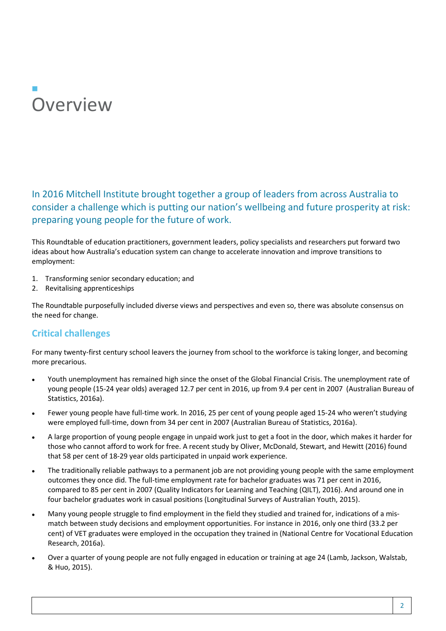### $\Box$ **Overview**

#### In 2016 Mitchell Institute brought together a group of leaders from across Australia to consider a challenge which is putting our nation's wellbeing and future prosperity at risk: preparing young people for the future of work.

This Roundtable of education practitioners, government leaders, policy specialists and researchers put forward two ideas about how Australia's education system can change to accelerate innovation and improve transitions to employment:

- 1. Transforming senior secondary education; and
- 2. Revitalising apprenticeships

The Roundtable purposefully included diverse views and perspectives and even so, there was absolute consensus on the need for change.

#### **Critical challenges**

For many twenty-first century school leavers the journey from school to the workforce is taking longer, and becoming more precarious.

- Youth unemployment has remained high since the onset of the Global Financial Crisis. The unemployment rate of young people (15-24 year olds) averaged 12.7 per cent in 2016, up from 9.4 per cent in 2007 (Australian Bureau of Statistics, 2016a).
- Fewer young people have full-time work. In 2016, 25 per cent of young people aged 15-24 who weren't studying were employed full-time, down from 34 per cent in 2007 (Australian Bureau of Statistics, 2016a).
- A large proportion of young people engage in unpaid work just to get a foot in the door, which makes it harder for those who cannot afford to work for free. A recent study by Oliver, McDonald, Stewart, and Hewitt (2016) found that 58 per cent of 18-29 year olds participated in unpaid work experience.
- The traditionally reliable pathways to a permanent job are not providing young people with the same employment outcomes they once did. The full-time employment rate for bachelor graduates was 71 per cent in 2016, compared to 85 per cent in 2007 (Quality Indicators for Learning and Teaching (QILT), 2016). And around one in four bachelor graduates work in casual positions (Longitudinal Surveys of Australian Youth, 2015).
- Many young people struggle to find employment in the field they studied and trained for, indications of a mismatch between study decisions and employment opportunities. For instance in 2016, only one third (33.2 per cent) of VET graduates were employed in the occupation they trained in (National Centre for Vocational Education Research, 2016a).
- Over a quarter of young people are not fully engaged in education or training at age 24 (Lamb, Jackson, Walstab, & Huo, 2015).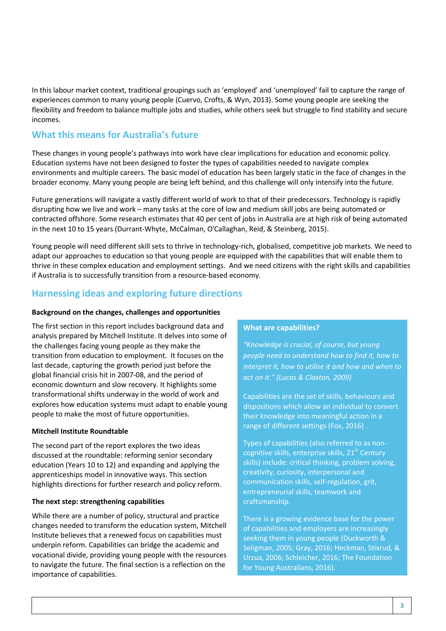In this labour market context, traditional groupings such as 'employed' and 'unemployed' fail to capture the range of experiences common to many young people (Cuervo, Crofts, & Wyn, 2013). Some young people are seeking the flexibility and freedom to balance multiple jobs and studies, while others seek but struggle to find stability and secure incomes.

#### **What this means for Australia's future**

These changes in young people's pathways into work have clear implications for education and economic policy. Education systems have not been designed to foster the types of capabilities needed to navigate complex environments and multiple careers. The basic model of education has been largely static in the face of changes in the broader economy. Many young people are being left behind, and this challenge will only intensify into the future.

Future generations will navigate a vastly different world of work to that of their predecessors. Technology is rapidly disrupting how we live and work – many tasks at the core of low and medium skill jobs are being automated or contracted offshore. Some research estimates that 40 per cent of jobs in Australia are at high risk of being automated in the next 10 to 15 years (Durrant-Whyte, McCalman, O'Callaghan, Reid, & Steinberg, 2015).

Young people will need different skill sets to thrive in technology-rich, globalised, competitive job markets. We need to adapt our approaches to education so that young people are equipped with the capabilities that will enable them to thrive in these complex education and employment settings. And we need citizens with the right skills and capabilities if Australia is to successfully transition from a resource-based economy.

#### **Harnessing ideas and exploring future directions**

#### **Background on the changes, challenges and opportunities**

The first section in this report includes background data and analysis prepared by Mitchell Institute. It delves into some of the challenges facing young people as they make the transition from education to employment. It focuses on the last decade, capturing the growth period just before the global financial crisis hit in 2007-08, and the period of economic downturn and slow recovery. It highlights some transformational shifts underway in the world of work and explores how education systems must adapt to enable young people to make the most of future opportunities.

#### **Mitchell Institute Roundtable**

The second part of the report explores the two ideas discussed at the roundtable: reforming senior secondary education (Years 10 to 12) and expanding and applying the apprenticeships model in innovative ways. This section highlights directions for further research and policy reform.

#### **The next step: strengthening capabilities**

While there are a number of policy, structural and practice changes needed to transform the education system, Mitchell Institute believes that a renewed focus on capabilities must underpin reform. Capabilities can bridge the academic and vocational divide, providing young people with the resources to navigate the future. The final section is a reflection on the importance of capabilities.

#### **What are capabilities?**

*"Knowledge is crucial, of course, but young people need to understand how to find it, how to interpret it, how to utilise it and how and when to act on it." (Lucas & Claxton, 2009)*

Capabilities are the set of skills, behaviours and dispositions which allow an individual to convert their knowledge into meaningful action in a range of different settings (Fox, 2016) .

Types of capabilities (also referred to as noncognitive skills, enterprise skills, 21<sup>st</sup> Century skills) include: critical thinking, problem solving, creativity, curiosity, interpersonal and communication skills, self-regulation, grit, entrepreneurial skills, teamwork and craftsmanship.

There is a growing evidence base for the power of capabilities and employers are increasingly seeking them in young people (Duckworth & Seligman, 2005; Gray, 2016; Heckman, Stixrud, & Urzua, 2006; Schleicher, 2016; The Foundation for Young Australians, 2016).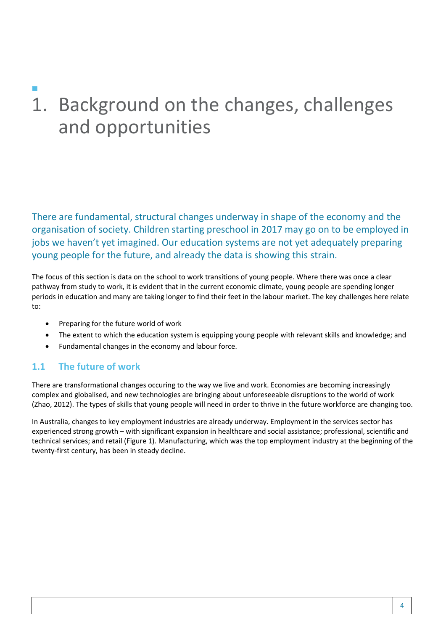## $\Box$ 1. Background on the changes, challenges and opportunities

There are fundamental, structural changes underway in shape of the economy and the organisation of society. Children starting preschool in 2017 may go on to be employed in jobs we haven't yet imagined. Our education systems are not yet adequately preparing young people for the future, and already the data is showing this strain.

The focus of this section is data on the school to work transitions of young people. Where there was once a clear pathway from study to work, it is evident that in the current economic climate, young people are spending longer periods in education and many are taking longer to find their feet in the labour market. The key challenges here relate to:

- Preparing for the future world of work
- The extent to which the education system is equipping young people with relevant skills and knowledge; and
- Fundamental changes in the economy and labour force.

#### **1.1 The future of work**

There are transformational changes occuring to the way we live and work. Economies are becoming increasingly complex and globalised, and new technologies are bringing about unforeseeable disruptions to the world of work (Zhao, 2012). The types of skills that young people will need in order to thrive in the future workforce are changing too.

In Australia, changes to key employment industries are already underway. Employment in the services sector has experienced strong growth – with significant expansion in healthcare and social assistance; professional, scientific and technical services; and retail (Figure 1). Manufacturing, which was the top employment industry at the beginning of the twenty-first century, has been in steady decline.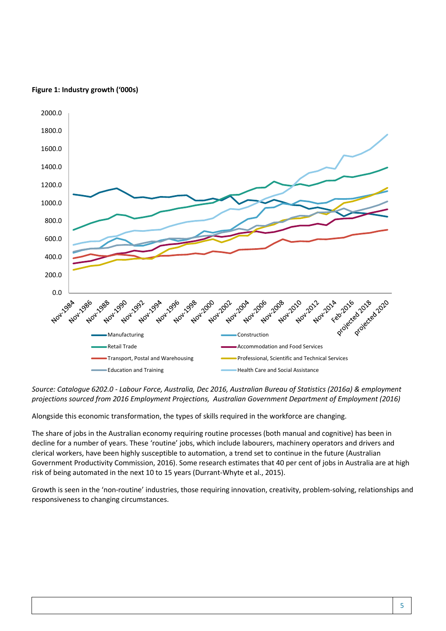#### **Figure 1: Industry growth ('000s)**



*Source: Catalogue 6202.0 - Labour Force, Australia, Dec 2016, Australian Bureau of Statistics (2016a) & employment projections sourced from 2016 Employment Projections, Australian Government Department of Employment (2016)*

Alongside this economic transformation, the types of skills required in the workforce are changing.

The share of jobs in the Australian economy requiring routine processes (both manual and cognitive) has been in decline for a number of years. These 'routine' jobs, which include labourers, machinery operators and drivers and clerical workers, have been highly susceptible to automation, a trend set to continue in the future (Australian Government Productivity Commission, 2016). Some research estimates that 40 per cent of jobs in Australia are at high risk of being automated in the next 10 to 15 years (Durrant-Whyte et al., 2015).

Growth is seen in the 'non-routine' industries, those requiring innovation, creativity, problem-solving, relationships and responsiveness to changing circumstances.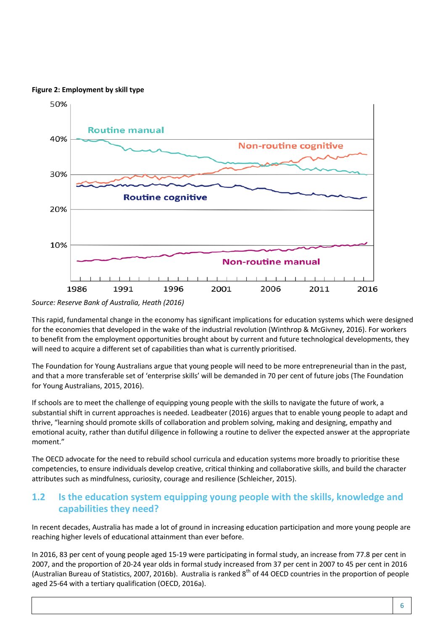#### **Figure 2: Employment by skill type**



*Source: Reserve Bank of Australia, Heath (2016)*

This rapid, fundamental change in the economy has significant implications for education systems which were designed for the economies that developed in the wake of the industrial revolution (Winthrop & McGivney, 2016). For workers to benefit from the employment opportunities brought about by current and future technological developments, they will need to acquire a different set of capabilities than what is currently prioritised.

The Foundation for Young Australians argue that young people will need to be more entrepreneurial than in the past, and that a more transferable set of 'enterprise skills' will be demanded in 70 per cent of future jobs (The Foundation for Young Australians, 2015, 2016).

If schools are to meet the challenge of equipping young people with the skills to navigate the future of work, a substantial shift in current approaches is needed. Leadbeater (2016) argues that to enable young people to adapt and thrive, "learning should promote skills of collaboration and problem solving, making and designing, empathy and emotional acuity, rather than dutiful diligence in following a routine to deliver the expected answer at the appropriate moment."

The OECD advocate for the need to rebuild school curricula and education systems more broadly to prioritise these competencies, to ensure individuals develop creative, critical thinking and collaborative skills, and build the character attributes such as mindfulness, curiosity, courage and resilience (Schleicher, 2015).

#### **1.2 Is the education system equipping young people with the skills, knowledge and capabilities they need?**

In recent decades, Australia has made a lot of ground in increasing education participation and more young people are reaching higher levels of educational attainment than ever before.

In 2016, 83 per cent of young people aged 15-19 were participating in formal study, an increase from 77.8 per cent in 2007, and the proportion of 20-24 year olds in formal study increased from 37 per cent in 2007 to 45 per cent in 2016 (Australian Bureau of Statistics, 2007, 2016b). Australia is ranked  $8^{th}$  of 44 OECD countries in the proportion of people aged 25-64 with a tertiary qualification (OECD, 2016a).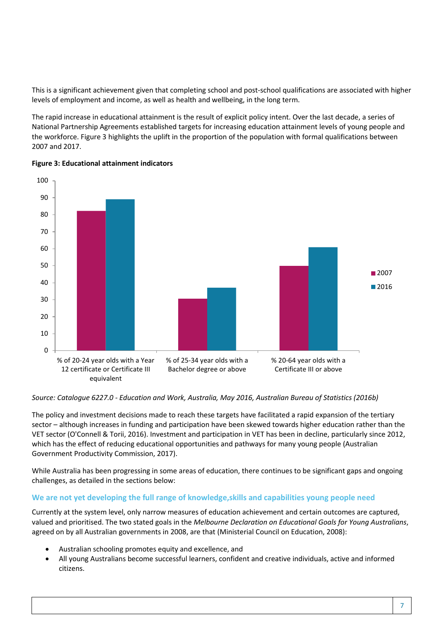This is a significant achievement given that completing school and post-school qualifications are associated with higher levels of employment and income, as well as health and wellbeing, in the long term.

The rapid increase in educational attainment is the result of explicit policy intent. Over the last decade, a series of National Partnership Agreements established targets for increasing education attainment levels of young people and the workforce. Figure 3 highlights the uplift in the proportion of the population with formal qualifications between 2007 and 2017.



#### **Figure 3: Educational attainment indicators**

*Source: Catalogue 6227.0 - Education and Work, Australia, May 2016, Australian Bureau of Statistics (2016b)*

The policy and investment decisions made to reach these targets have facilitated a rapid expansion of the tertiary sector – although increases in funding and participation have been skewed towards higher education rather than the VET sector (O'Connell & Torii, 2016). Investment and participation in VET has been in decline, particularly since 2012, which has the effect of reducing educational opportunities and pathways for many young people (Australian Government Productivity Commission, 2017).

While Australia has been progressing in some areas of education, there continues to be significant gaps and ongoing challenges, as detailed in the sections below:

#### **We are not yet developing the full range of knowledge,skills and capabilities young people need**

Currently at the system level, only narrow measures of education achievement and certain outcomes are captured, valued and prioritised. The two stated goals in the *Melbourne Declaration on Educational Goals for Young Australians*, agreed on by all Australian governments in 2008, are that (Ministerial Council on Education, 2008):

- Australian schooling promotes equity and excellence, and
- All young Australians become successful learners, confident and creative individuals, active and informed citizens.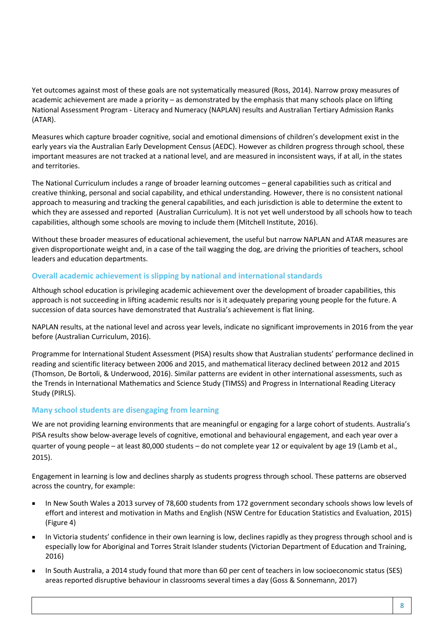Yet outcomes against most of these goals are not systematically measured (Ross, 2014). Narrow proxy measures of academic achievement are made a priority – as demonstrated by the emphasis that many schools place on lifting National Assessment Program - Literacy and Numeracy (NAPLAN) results and Australian Tertiary Admission Ranks (ATAR).

Measures which capture broader cognitive, social and emotional dimensions of children's development exist in the early years via the Australian Early Development Census (AEDC). However as children progress through school, these important measures are not tracked at a national level, and are measured in inconsistent ways, if at all, in the states and territories.

The National Curriculum includes a range of broader learning outcomes – general capabilities such as critical and creative thinking, personal and social capability, and ethical understanding. However, there is no consistent national approach to measuring and tracking the general capabilities, and each jurisdiction is able to determine the extent to which they are assessed and reported (Australian Curriculum). It is not yet well understood by all schools how to teach capabilities, although some schools are moving to include them (Mitchell Institute, 2016).

Without these broader measures of educational achievement, the useful but narrow NAPLAN and ATAR measures are given disproportionate weight and, in a case of the tail wagging the dog, are driving the priorities of teachers, school leaders and education departments.

#### **Overall academic achievement is slipping by national and international standards**

Although school education is privileging academic achievement over the development of broader capabilities, this approach is not succeeding in lifting academic results nor is it adequately preparing young people for the future. A succession of data sources have demonstrated that Australia's achievement is flat lining.

NAPLAN results, at the national level and across year levels, indicate no significant improvements in 2016 from the year before (Australian Curriculum, 2016).

Programme for International Student Assessment (PISA) results show that Australian students' performance declined in reading and scientific literacy between 2006 and 2015, and mathematical literacy declined between 2012 and 2015 (Thomson, De Bortoli, & Underwood, 2016). Similar patterns are evident in other international assessments, such as the Trends in International Mathematics and Science Study (TIMSS) and Progress in International Reading Literacy Study (PIRLS).

#### **Many school students are disengaging from learning**

We are not providing learning environments that are meaningful or engaging for a large cohort of students. Australia's PISA results show below-average levels of cognitive, emotional and behavioural engagement, and each year over a quarter of young people – at least 80,000 students – do not complete year 12 or equivalent by age 19 (Lamb et al., 2015).

Engagement in learning is low and declines sharply as students progress through school. These patterns are observed across the country, for example:

- In New South Wales a 2013 survey of 78,600 students from 172 government secondary schools shows low levels of effort and interest and motivation in Maths and English (NSW Centre for Education Statistics and Evaluation, 2015) (Figure 4)
- In Victoria students' confidence in their own learning is low, declines rapidly as they progress through school and is especially low for Aboriginal and Torres Strait Islander students (Victorian Department of Education and Training, 2016)
- In South Australia, a 2014 study found that more than 60 per cent of teachers in low socioeconomic status (SES) areas reported disruptive behaviour in classrooms several times a day (Goss & Sonnemann, 2017)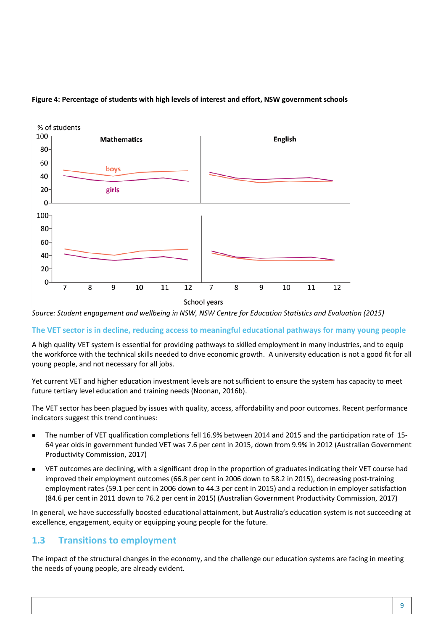

#### **Figure 4: Percentage of students with high levels of interest and effort, NSW government schools**

*Source: Student engagement and wellbeing in NSW, NSW Centre for Education Statistics and Evaluation (2015)*

#### **The VET sector is in decline, reducing access to meaningful educational pathways for many young people**

A high quality VET system is essential for providing pathways to skilled employment in many industries, and to equip the workforce with the technical skills needed to drive economic growth. A university education is not a good fit for all young people, and not necessary for all jobs.

Yet current VET and higher education investment levels are not sufficient to ensure the system has capacity to meet future tertiary level education and training needs (Noonan, 2016b).

The VET sector has been plagued by issues with quality, access, affordability and poor outcomes. Recent performance indicators suggest this trend continues:

- The number of VET qualification completions fell 16.9% between 2014 and 2015 and the participation rate of 15- 64 year olds in government funded VET was 7.6 per cent in 2015, down from 9.9% in 2012 (Australian Government Productivity Commission, 2017)
- VET outcomes are declining, with a significant drop in the proportion of graduates indicating their VET course had improved their employment outcomes (66.8 per cent in 2006 down to 58.2 in 2015), decreasing post-training employment rates (59.1 per cent in 2006 down to 44.3 per cent in 2015) and a reduction in employer satisfaction (84.6 per cent in 2011 down to 76.2 per cent in 2015) (Australian Government Productivity Commission, 2017)

In general, we have successfully boosted educational attainment, but Australia's education system is not succeeding at excellence, engagement, equity or equipping young people for the future.

#### **1.3 Transitions to employment**

The impact of the structural changes in the economy, and the challenge our education systems are facing in meeting the needs of young people, are already evident.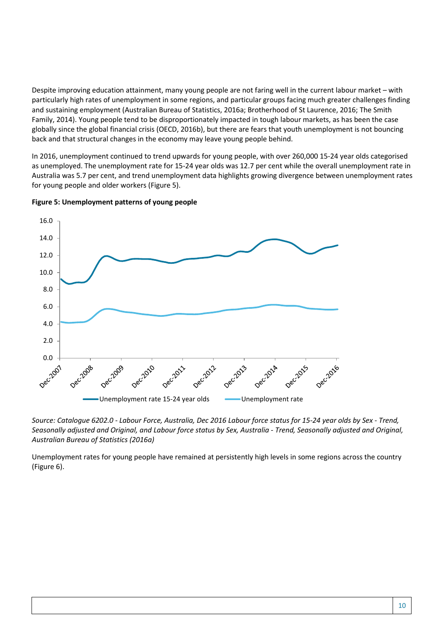Despite improving education attainment, many young people are not faring well in the current labour market – with particularly high rates of unemployment in some regions, and particular groups facing much greater challenges finding and sustaining employment (Australian Bureau of Statistics, 2016a; Brotherhood of St Laurence, 2016; The Smith Family, 2014). Young people tend to be disproportionately impacted in tough labour markets, as has been the case globally since the global financial crisis (OECD, 2016b), but there are fears that youth unemployment is not bouncing back and that structural changes in the economy may leave young people behind.

In 2016, unemployment continued to trend upwards for young people, with over 260,000 15-24 year olds categorised as unemployed. The unemployment rate for 15-24 year olds was 12.7 per cent while the overall unemployment rate in Australia was 5.7 per cent, and trend unemployment data highlights growing divergence between unemployment rates for young people and older workers (Figure 5).



**Figure 5: Unemployment patterns of young people** 

*Source: Catalogue 6202.0 - Labour Force, Australia, Dec 2016 Labour force status for 15-24 year olds by Sex - Trend, Seasonally adjusted and Original, and Labour force status by Sex, Australia - Trend, Seasonally adjusted and Original, Australian Bureau of Statistics (2016a)* 

Unemployment rates for young people have remained at persistently high levels in some regions across the country (Figure 6).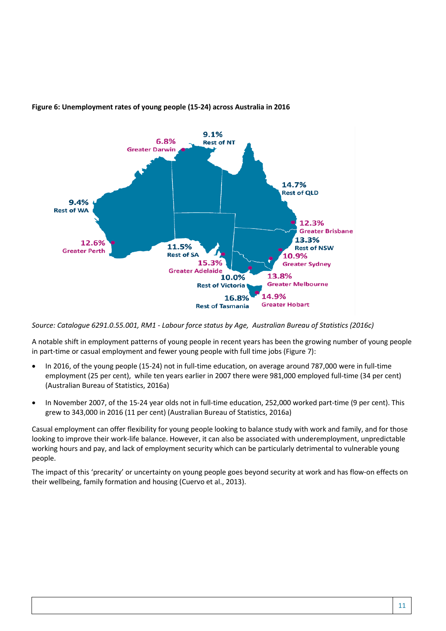

#### **Figure 6: Unemployment rates of young people (15-24) across Australia in 2016**

*Source: Catalogue 6291.0.55.001, RM1 - Labour force status by Age, Australian Bureau of Statistics (2016c)*

A notable shift in employment patterns of young people in recent years has been the growing number of young people in part-time or casual employment and fewer young people with full time jobs (Figure 7):

- In 2016, of the young people (15-24) not in full-time education, on average around 787,000 were in full-time employment (25 per cent), while ten years earlier in 2007 there were 981,000 employed full-time (34 per cent) (Australian Bureau of Statistics, 2016a)
- In November 2007, of the 15-24 year olds not in full-time education, 252,000 worked part-time (9 per cent). This grew to 343,000 in 2016 (11 per cent) (Australian Bureau of Statistics, 2016a)

Casual employment can offer flexibility for young people looking to balance study with work and family, and for those looking to improve their work-life balance. However, it can also be associated with underemployment, unpredictable working hours and pay, and lack of employment security which can be particularly detrimental to vulnerable young people.

The impact of this 'precarity' or uncertainty on young people goes beyond security at work and has flow-on effects on their wellbeing, family formation and housing (Cuervo et al., 2013).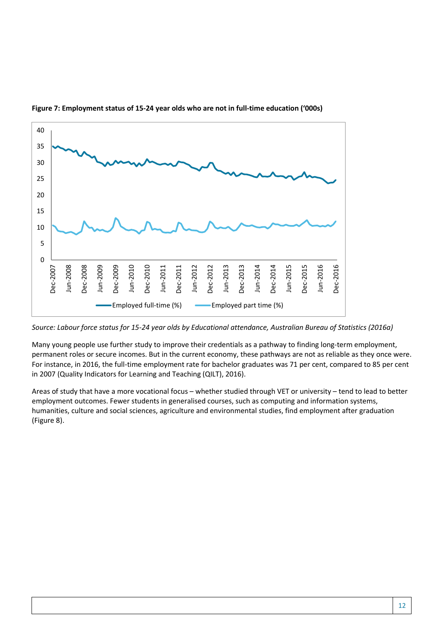

**Figure 7: Employment status of 15-24 year olds who are not in full-time education ('000s)**

*Source: Labour force status for 15-24 year olds by Educational attendance, Australian Bureau of Statistics (2016a)* 

Many young people use further study to improve their credentials as a pathway to finding long-term employment, permanent roles or secure incomes. But in the current economy, these pathways are not as reliable as they once were. For instance, in 2016, the full-time employment rate for bachelor graduates was 71 per cent, compared to 85 per cent in 2007 (Quality Indicators for Learning and Teaching (QILT), 2016).

Areas of study that have a more vocational focus – whether studied through VET or university – tend to lead to better employment outcomes. Fewer students in generalised courses, such as computing and information systems, humanities, culture and social sciences, agriculture and environmental studies, find employment after graduation (Figure 8).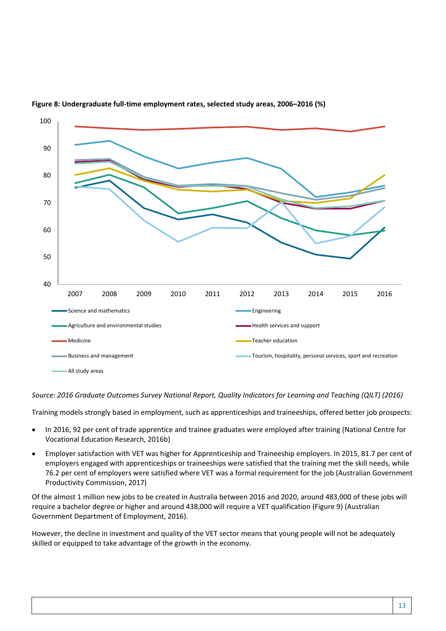

#### **Figure 8: Undergraduate full-time employment rates, selected study areas, 2006–2016 (%)**

*Source: 2016 Graduate Outcomes Survey National Report, Quality Indicators for Learning and Teaching (QILT) (2016)* 

Training models strongly based in employment, such as apprenticeships and traineeships, offered better job prospects:

- In 2016, 92 per cent of trade apprentice and trainee graduates were employed after training (National Centre for Vocational Education Research, 2016b)
- Employer satisfaction with VET was higher for Apprenticeship and Traineeship employers. In 2015, 81.7 per cent of employers engaged with apprenticeships or traineeships were satisfied that the training met the skill needs, while 76.2 per cent of employers were satisfied where VET was a formal requirement for the job (Australian Government Productivity Commission, 2017)

Of the almost 1 million new jobs to be created in Australia between 2016 and 2020, around 483,000 of these jobs will require a bachelor degree or higher and around 438,000 will require a VET qualification (Figure 9) (Australian Government Department of Employment, 2016).

However, the decline in investment and quality of the VET sector means that young people will not be adequately skilled or equipped to take advantage of the growth in the economy.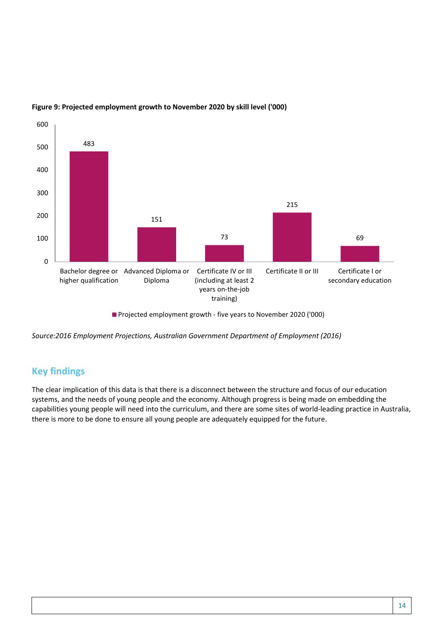

#### **Figure 9: Projected employment growth to November 2020 by skill level ('000)**

Projected employment growth - five years to November 2020 ('000)

*Source:2016 Employment Projections, Australian Government Department of Employment (2016)*

#### **Key findings**

The clear implication of this data is that there is a disconnect between the structure and focus of our education systems, and the needs of young people and the economy. Although progress is being made on embedding the capabilities young people will need into the curriculum, and there are some sites of world-leading practice in Australia, there is more to be done to ensure all young people are adequately equipped for the future.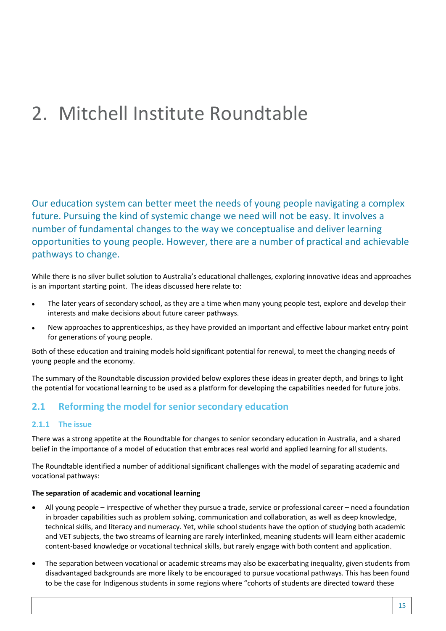## 2. Mitchell Institute Roundtable

Our education system can better meet the needs of young people navigating a complex future. Pursuing the kind of systemic change we need will not be easy. It involves a number of fundamental changes to the way we conceptualise and deliver learning opportunities to young people. However, there are a number of practical and achievable pathways to change.

While there is no silver bullet solution to Australia's educational challenges, exploring innovative ideas and approaches is an important starting point. The ideas discussed here relate to:

- The later years of secondary school, as they are a time when many young people test, explore and develop their interests and make decisions about future career pathways.
- New approaches to apprenticeships, as they have provided an important and effective labour market entry point for generations of young people.

Both of these education and training models hold significant potential for renewal, to meet the changing needs of young people and the economy.

The summary of the Roundtable discussion provided below explores these ideas in greater depth, and brings to light the potential for vocational learning to be used as a platform for developing the capabilities needed for future jobs.

#### **2.1 Reforming the model for senior secondary education**

#### **2.1.1 The issue**

There was a strong appetite at the Roundtable for changes to senior secondary education in Australia, and a shared belief in the importance of a model of education that embraces real world and applied learning for all students.

The Roundtable identified a number of additional significant challenges with the model of separating academic and vocational pathways:

#### **The separation of academic and vocational learning**

- All young people irrespective of whether they pursue a trade, service or professional career need a foundation in broader capabilities such as problem solving, communication and collaboration, as well as deep knowledge, technical skills, and literacy and numeracy. Yet, while school students have the option of studying both academic and VET subjects, the two streams of learning are rarely interlinked, meaning students will learn either academic content-based knowledge or vocational technical skills, but rarely engage with both content and application.
- The separation between vocational or academic streams may also be exacerbating inequality, given students from disadvantaged backgrounds are more likely to be encouraged to pursue vocational pathways. This has been found to be the case for Indigenous students in some regions where "cohorts of students are directed toward these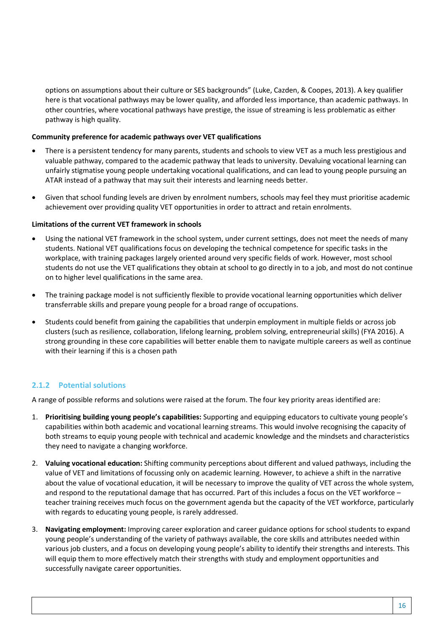options on assumptions about their culture or SES backgrounds" (Luke, Cazden, & Coopes, 2013). A key qualifier here is that vocational pathways may be lower quality, and afforded less importance, than academic pathways. In other countries, where vocational pathways have prestige, the issue of streaming is less problematic as either pathway is high quality.

#### **Community preference for academic pathways over VET qualifications**

- There is a persistent tendency for many parents, students and schools to view VET as a much less prestigious and valuable pathway, compared to the academic pathway that leads to university. Devaluing vocational learning can unfairly stigmatise young people undertaking vocational qualifications, and can lead to young people pursuing an ATAR instead of a pathway that may suit their interests and learning needs better.
- Given that school funding levels are driven by enrolment numbers, schools may feel they must prioritise academic achievement over providing quality VET opportunities in order to attract and retain enrolments.

#### **Limitations of the current VET framework in schools**

- Using the national VET framework in the school system, under current settings, does not meet the needs of many students. National VET qualifications focus on developing the technical competence for specific tasks in the workplace, with training packages largely oriented around very specific fields of work. However, most school students do not use the VET qualifications they obtain at school to go directly in to a job, and most do not continue on to higher level qualifications in the same area.
- The training package model is not sufficiently flexible to provide vocational learning opportunities which deliver transferrable skills and prepare young people for a broad range of occupations.
- Students could benefit from gaining the capabilities that underpin employment in multiple fields or across job clusters (such as resilience, collaboration, lifelong learning, problem solving, entrepreneurial skills) (FYA 2016). A strong grounding in these core capabilities will better enable them to navigate multiple careers as well as continue with their learning if this is a chosen path

#### **2.1.2 Potential solutions**

A range of possible reforms and solutions were raised at the forum. The four key priority areas identified are:

- 1. **Prioritising building young people's capabilities:** Supporting and equipping educators to cultivate young people's capabilities within both academic and vocational learning streams. This would involve recognising the capacity of both streams to equip young people with technical and academic knowledge and the mindsets and characteristics they need to navigate a changing workforce.
- 2. **Valuing vocational education:** Shifting community perceptions about different and valued pathways, including the value of VET and limitations of focussing only on academic learning. However, to achieve a shift in the narrative about the value of vocational education, it will be necessary to improve the quality of VET across the whole system, and respond to the reputational damage that has occurred. Part of this includes a focus on the VET workforce – teacher training receives much focus on the government agenda but the capacity of the VET workforce, particularly with regards to educating young people, is rarely addressed.
- 3. **Navigating employment:** Improving career exploration and career guidance options for school students to expand young people's understanding of the variety of pathways available, the core skills and attributes needed within various job clusters, and a focus on developing young people's ability to identify their strengths and interests. This will equip them to more effectively match their strengths with study and employment opportunities and successfully navigate career opportunities.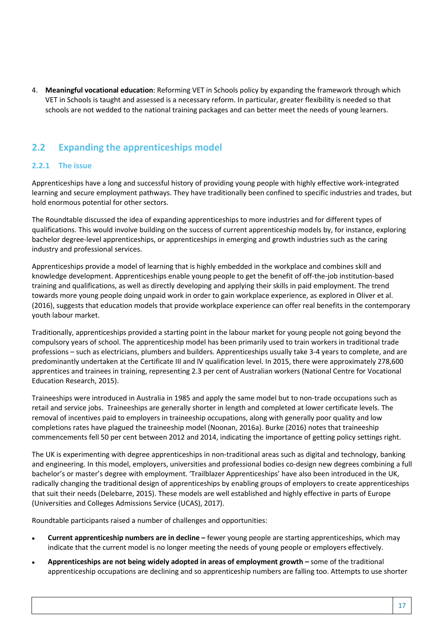4. **Meaningful vocational education**: Reforming VET in Schools policy by expanding the framework through which VET in Schools is taught and assessed is a necessary reform. In particular, greater flexibility is needed so that schools are not wedded to the national training packages and can better meet the needs of young learners.

#### **2.2 Expanding the apprenticeships model**

#### **2.2.1 The issue**

Apprenticeships have a long and successful history of providing young people with highly effective work-integrated learning and secure employment pathways. They have traditionally been confined to specific industries and trades, but hold enormous potential for other sectors.

The Roundtable discussed the idea of expanding apprenticeships to more industries and for different types of qualifications. This would involve building on the success of current apprenticeship models by, for instance, exploring bachelor degree-level apprenticeships, or apprenticeships in emerging and growth industries such as the caring industry and professional services.

Apprenticeships provide a model of learning that is highly embedded in the workplace and combines skill and knowledge development. Apprenticeships enable young people to get the benefit of off-the-job institution-based training and qualifications, as well as directly developing and applying their skills in paid employment. The trend towards more young people doing unpaid work in order to gain workplace experience, as explored in Oliver et al. (2016), suggests that education models that provide workplace experience can offer real benefits in the contemporary youth labour market.

Traditionally, apprenticeships provided a starting point in the labour market for young people not going beyond the compulsory years of school. The apprenticeship model has been primarily used to train workers in traditional trade professions – such as electricians, plumbers and builders. Apprenticeships usually take 3-4 years to complete, and are predominantly undertaken at the Certificate III and IV qualification level. In 2015, there were approximately 278,600 apprentices and trainees in training, representing 2.3 per cent of Australian workers (National Centre for Vocational Education Research, 2015).

Traineeships were introduced in Australia in 1985 and apply the same model but to non-trade occupations such as retail and service jobs. Traineeships are generally shorter in length and completed at lower certificate levels. The removal of incentives paid to employers in traineeship occupations, along with generally poor quality and low completions rates have plagued the traineeship model (Noonan, 2016a). Burke (2016) notes that traineeship commencements fell 50 per cent between 2012 and 2014, indicating the importance of getting policy settings right.

The UK is experimenting with degree apprenticeships in non-traditional areas such as digital and technology, banking and engineering. In this model, employers, universities and professional bodies co-design new degrees combining a full bachelor's or master's degree with employment. 'Trailblazer Apprenticeships' have also been introduced in the UK, radically changing the traditional design of apprenticeships by enabling groups of employers to create apprenticeships that suit their needs (Delebarre, 2015). These models are well established and highly effective in parts of Europe (Universities and Colleges Admissions Service (UCAS), 2017).

Roundtable participants raised a number of challenges and opportunities:

- **Current apprenticeship numbers are in decline –** fewer young people are starting apprenticeships, which may indicate that the current model is no longer meeting the needs of young people or employers effectively.
- **Apprenticeships are not being widely adopted in areas of employment growth –** some of the traditional apprenticeship occupations are declining and so apprenticeship numbers are falling too. Attempts to use shorter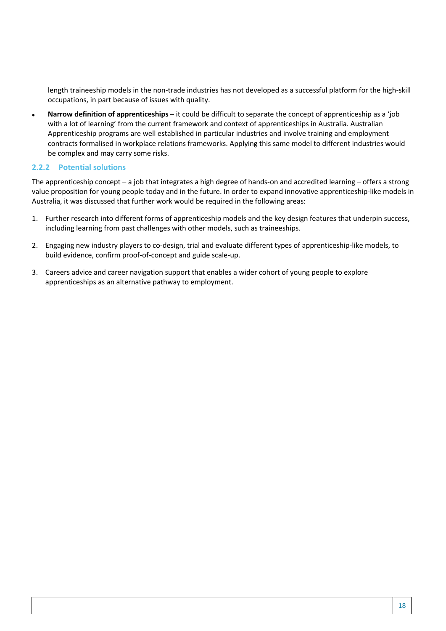length traineeship models in the non-trade industries has not developed as a successful platform for the high-skill occupations, in part because of issues with quality.

• **Narrow definition of apprenticeships –** it could be difficult to separate the concept of apprenticeship as a 'job with a lot of learning' from the current framework and context of apprenticeships in Australia. Australian Apprenticeship programs are well established in particular industries and involve training and employment contracts formalised in workplace relations frameworks. Applying this same model to different industries would be complex and may carry some risks.

#### **2.2.2 Potential solutions**

The apprenticeship concept – a job that integrates a high degree of hands-on and accredited learning – offers a strong value proposition for young people today and in the future. In order to expand innovative apprenticeship-like models in Australia, it was discussed that further work would be required in the following areas:

- 1. Further research into different forms of apprenticeship models and the key design features that underpin success, including learning from past challenges with other models, such as traineeships.
- 2. Engaging new industry players to co-design, trial and evaluate different types of apprenticeship-like models, to build evidence, confirm proof-of-concept and guide scale-up.
- 3. Careers advice and career navigation support that enables a wider cohort of young people to explore apprenticeships as an alternative pathway to employment.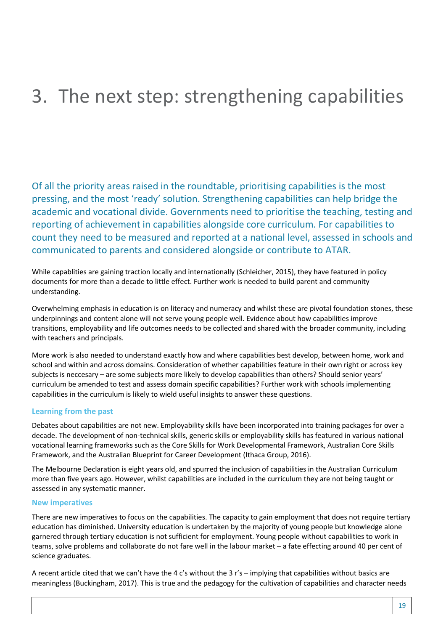# 3. The next step: strengthening capabilities

Of all the priority areas raised in the roundtable, prioritising capabilities is the most pressing, and the most 'ready' solution. Strengthening capabilities can help bridge the academic and vocational divide. Governments need to prioritise the teaching, testing and reporting of achievement in capabilities alongside core curriculum. For capabilities to count they need to be measured and reported at a national level, assessed in schools and communicated to parents and considered alongside or contribute to ATAR.

While capablities are gaining traction locally and internationally (Schleicher, 2015), they have featured in policy documents for more than a decade to little effect. Further work is needed to build parent and community understanding.

Overwhelming emphasis in education is on literacy and numeracy and whilst these are pivotal foundation stones, these underpinnings and content alone will not serve young people well. Evidence about how capabilities improve transitions, employability and life outcomes needs to be collected and shared with the broader community, including with teachers and principals.

More work is also needed to understand exactly how and where capabilities best develop, between home, work and school and within and across domains. Consideration of whether capabilities feature in their own right or across key subjects is neccesary – are some subjects more likely to develop capabilities than others? Should senior years' curriculum be amended to test and assess domain specific capabilities? Further work with schools implementing capabilities in the curriculum is likely to wield useful insights to answer these questions.

#### **Learning from the past**

Debates about capabilities are not new. Employability skills have been incorporated into training packages for over a decade. The development of non-technical skills, generic skills or employability skills has featured in various national vocational learning frameworks such as the Core Skills for Work Developmental Framework, Australian Core Skills Framework, and the Australian Blueprint for Career Development (Ithaca Group, 2016).

The Melbourne Declaration is eight years old, and spurred the inclusion of capabilities in the Australian Curriculum more than five years ago. However, whilst capabilities are included in the curriculum they are not being taught or assessed in any systematic manner.

#### **New imperatives**

There are new imperatives to focus on the capabilities. The capacity to gain employment that does not require tertiary education has diminished. University education is undertaken by the majority of young people but knowledge alone garnered through tertiary education is not sufficient for employment. Young people without capabilities to work in teams, solve problems and collaborate do not fare well in the labour market – a fate effecting around 40 per cent of science graduates.

A recent article cited that we can't have the 4 c's without the 3 r's – implying that capabilities without basics are meaningless (Buckingham, 2017). This is true and the pedagogy for the cultivation of capabilities and character needs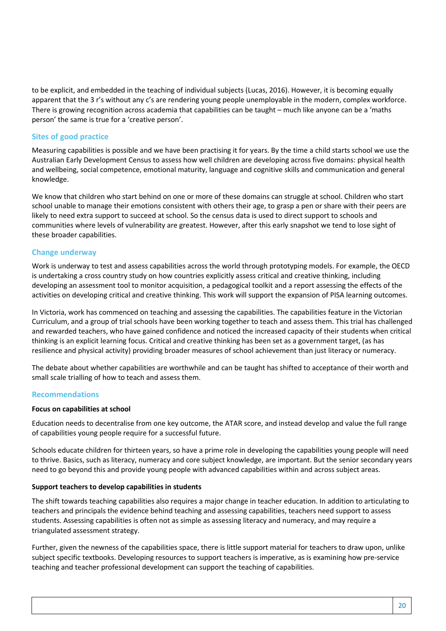to be explicit, and embedded in the teaching of individual subjects (Lucas, 2016). However, it is becoming equally apparent that the 3 r's without any c's are rendering young people unemployable in the modern, complex workforce. There is growing recognition across academia that capabilities can be taught – much like anyone can be a 'maths person' the same is true for a 'creative person'.

#### **Sites of good practice**

Measuring capabilities is possible and we have been practising it for years. By the time a child starts school we use the Australian Early Development Census to assess how well children are developing across five domains: physical health and wellbeing, social competence, emotional maturity, language and cognitive skills and communication and general knowledge.

We know that children who start behind on one or more of these domains can struggle at school. Children who start school unable to manage their emotions consistent with others their age, to grasp a pen or share with their peers are likely to need extra support to succeed at school. So the census data is used to direct support to schools and communities where levels of vulnerability are greatest. However, after this early snapshot we tend to lose sight of these broader capabilities.

#### **Change underway**

Work is underway to test and assess capabilities across the world through prototyping models. For example, the OECD is undertaking a cross country study on how countries explicitly assess critical and creative thinking, including developing an assessment tool to monitor acquisition, a pedagogical toolkit and a report assessing the effects of the activities on developing critical and creative thinking. This work will support the expansion of PISA learning outcomes.

In Victoria, work has commenced on teaching and assessing the capabilities. The capabilities feature in the Victorian Curriculum, and a group of trial schools have been working together to teach and assess them. This trial has challenged and rewarded teachers, who have gained confidence and noticed the increased capacity of their students when critical thinking is an explicit learning focus. Critical and creative thinking has been set as a government target, (as has resilience and physical activity) providing broader measures of school achievement than just literacy or numeracy.

The debate about whether capabilities are worthwhile and can be taught has shifted to acceptance of their worth and small scale trialling of how to teach and assess them.

#### **Recommendations**

#### **Focus on capabilities at school**

Education needs to decentralise from one key outcome, the ATAR score, and instead develop and value the full range of capabilities young people require for a successful future.

Schools educate children for thirteen years, so have a prime role in developing the capabilities young people will need to thrive. Basics, such as literacy, numeracy and core subject knowledge, are important. But the senior secondary years need to go beyond this and provide young people with advanced capabilities within and across subject areas.

#### **Support teachers to develop capabilities in students**

The shift towards teaching capabilities also requires a major change in teacher education. In addition to articulating to teachers and principals the evidence behind teaching and assessing capabilities, teachers need support to assess students. Assessing capabilities is often not as simple as assessing literacy and numeracy, and may require a triangulated assessment strategy.

Further, given the newness of the capabilities space, there is little support material for teachers to draw upon, unlike subject specific textbooks. Developing resources to support teachers is imperative, as is examining how pre-service teaching and teacher professional development can support the teaching of capabilities.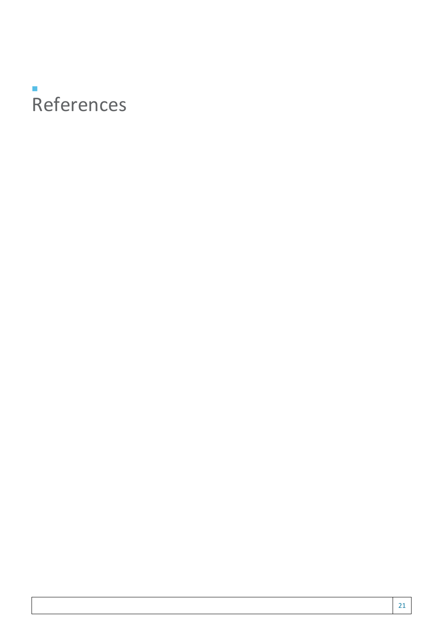### **The State** References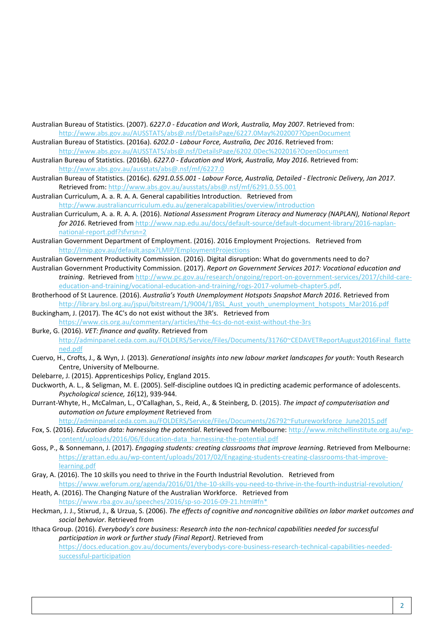- Australian Bureau of Statistics. (2007). *6227.0 Education and Work, Australia, May 2007*. Retrieved from: <http://www.abs.gov.au/AUSSTATS/abs@.nsf/DetailsPage/6227.0May%202007?OpenDocument>
- Australian Bureau of Statistics. (2016a). *6202.0 Labour Force, Australia, Dec 2016*. Retrieved from: <http://www.abs.gov.au/AUSSTATS/abs@.nsf/DetailsPage/6202.0Dec%202016?OpenDocument>
- Australian Bureau of Statistics. (2016b). *6227.0 Education and Work, Australia, May 2016*. Retrieved from: <http://www.abs.gov.au/ausstats/abs@.nsf/mf/6227.0>
- Australian Bureau of Statistics. (2016c). *6291.0.55.001 Labour Force, Australia, Detailed Electronic Delivery, Jan 2017*. Retrieved from:<http://www.abs.gov.au/ausstats/abs@.nsf/mf/6291.0.55.001>
- Australian Curriculum, A. a. R. A. A. General capabilities Introduction. Retrieved from <http://www.australiancurriculum.edu.au/generalcapabilities/overview/introduction>
- Australian Curriculum, A. a. R. A. A. (2016). *National Assessment Program Literacy and Numeracy (NAPLAN), National Report for 2016*. Retrieved from [http://www.nap.edu.au/docs/default-source/default-document-library/2016-naplan](http://www.nap.edu.au/docs/default-source/default-document-library/2016-naplan-national-report.pdf?sfvrsn=2)[national-report.pdf?sfvrsn=2](http://www.nap.edu.au/docs/default-source/default-document-library/2016-naplan-national-report.pdf?sfvrsn=2)
- Australian Government Department of Employment. (2016). 2016 Employment Projections. Retrieved from <http://lmip.gov.au/default.aspx?LMIP/EmploymentProjections>
- Australian Government Productivity Commission. (2016). Digital disruption: What do governments need to do? Australian Government Productivity Commission. (2017). *Report on Government Services 2017: Vocational education and training*. Retrieved from [http://www.pc.gov.au/research/ongoing/report-on-government-services/2017/child-care](http://www.pc.gov.au/research/ongoing/report-on-government-services/2017/child-care-education-and-training/vocational-education-and-training/rogs-2017-volumeb-chapter5.pdf)[education-and-training/vocational-education-and-training/rogs-2017-volumeb-chapter5.pdf.](http://www.pc.gov.au/research/ongoing/report-on-government-services/2017/child-care-education-and-training/vocational-education-and-training/rogs-2017-volumeb-chapter5.pdf)
- Brotherhood of St Laurence. (2016). *Australia's Youth Unemployment Hotspots Snapshot March 2016*. Retrieved from [http://library.bsl.org.au/jspui/bitstream/1/9004/1/BSL\\_Aust\\_youth\\_unemployment\\_hotspots\\_Mar2016.pdf](http://library.bsl.org.au/jspui/bitstream/1/9004/1/BSL_Aust_youth_unemployment_hotspots_Mar2016.pdf)
- Buckingham, J. (2017). The 4C's do not exist without the 3R's. Retrieved from <https://www.cis.org.au/commentary/articles/the-4cs-do-not-exist-without-the-3rs>
- Burke, G. (2016). *VET: finance and quality*. Retrieved from [http://adminpanel.ceda.com.au/FOLDERS/Service/Files/Documents/31760~CEDAVETReportAugust2016Final\\_flatte](http://adminpanel.ceda.com.au/FOLDERS/Service/Files/Documents/31760%7ECEDAVETReportAugust2016Final_flattened.pdf) [ned.pdf](http://adminpanel.ceda.com.au/FOLDERS/Service/Files/Documents/31760%7ECEDAVETReportAugust2016Final_flattened.pdf)
- Cuervo, H., Crofts, J., & Wyn, J. (2013). *Generational insights into new labour market landscapes for youth*: Youth Research Centre, University of Melbourne.
- Delebarre, J. (2015). Apprenticeships Policy, England 2015.
- Duckworth, A. L., & Seligman, M. E. (2005). Self-discipline outdoes IQ in predicting academic performance of adolescents. *Psychological science, 16*(12), 939-944.
- Durrant-Whyte, H., McCalman, L., O'Callaghan, S., Reid, A., & Steinberg, D. (2015). *The impact of computerisation and automation on future employment* Retrieved from [http://adminpanel.ceda.com.au/FOLDERS/Service/Files/Documents/26792~Futureworkforce\\_June2015.pdf](http://adminpanel.ceda.com.au/FOLDERS/Service/Files/Documents/26792%7EFutureworkforce_June2015.pdf)
- Fox, S. (2016). *Education data: harnessing the potential*. Retrieved from Melbourne[: http://www.mitchellinstitute.org.au/wp](http://www.mitchellinstitute.org.au/wp-content/uploads/2016/06/Education-data_harnessing-the-potential.pdf)[content/uploads/2016/06/Education-data\\_harnessing-the-potential.pdf](http://www.mitchellinstitute.org.au/wp-content/uploads/2016/06/Education-data_harnessing-the-potential.pdf)
- Goss, P., & Sonnemann, J. (2017). *Engaging students: creating classrooms that improve learning*. Retrieved from Melbourne: [https://grattan.edu.au/wp-content/uploads/2017/02/Engaging-students-creating-classrooms-that-improve](https://grattan.edu.au/wp-content/uploads/2017/02/Engaging-students-creating-classrooms-that-improve-learning.pdf)[learning.pdf](https://grattan.edu.au/wp-content/uploads/2017/02/Engaging-students-creating-classrooms-that-improve-learning.pdf)
- Gray, A. (2016). The 10 skills you need to thrive in the Fourth Industrial Revolution. Retrieved from <https://www.weforum.org/agenda/2016/01/the-10-skills-you-need-to-thrive-in-the-fourth-industrial-revolution/>
- Heath, A. (2016). The Changing Nature of the Australian Workforce. Retrieved from [https://www.rba.gov.au/speeches/2016/sp-so-2016-09-21.html#fn\\*](https://www.rba.gov.au/speeches/2016/sp-so-2016-09-21.html#fn*)
- Heckman, J. J., Stixrud, J., & Urzua, S. (2006). *The effects of cognitive and noncognitive abilities on labor market outcomes and social behavior*. Retrieved from
- Ithaca Group. (2016). *Everybody's core business: Research into the non-technical capabilities needed for successful participation in work or further study (Final Report)*. Retrieved from [https://docs.education.gov.au/documents/everybodys-core-business-research-technical-capabilities-needed](https://docs.education.gov.au/documents/everybodys-core-business-research-technical-capabilities-needed-successful-participation)[successful-participation](https://docs.education.gov.au/documents/everybodys-core-business-research-technical-capabilities-needed-successful-participation)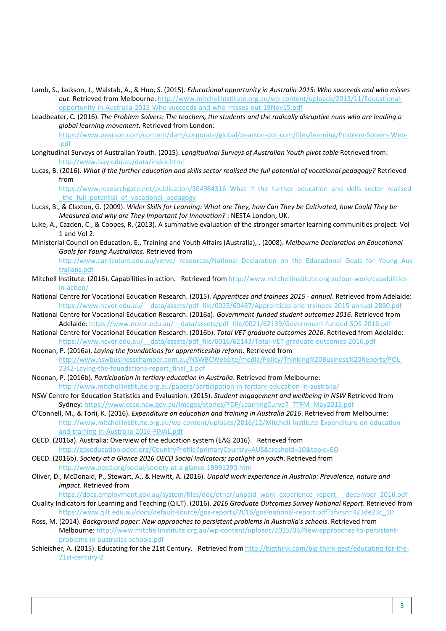- Lamb, S., Jackson, J., Walstab, A., & Huo, S. (2015). *Educational opportunity in Australia 2015: Who succeeds and who misses out*. Retrieved from Melbourne: [http://www.mitchellinstitute.org.au/wp-content/uploads/2015/11/Educational](http://www.mitchellinstitute.org.au/wp-content/uploads/2015/11/Educational-opportunity-in-Australia-2015-Who-succeeds-and-who-misses-out-19Nov15.pdf)[opportunity-in-Australia-2015-Who-succeeds-and-who-misses-out-19Nov15.pdf](http://www.mitchellinstitute.org.au/wp-content/uploads/2015/11/Educational-opportunity-in-Australia-2015-Who-succeeds-and-who-misses-out-19Nov15.pdf)
- Leadbeater, C. (2016). *The Problem Solvers: The teachers, the students and the radically disruptive nuns who are leading a global learning movement*. Retrieved from London: [https://www.pearson.com/content/dam/corporate/global/pearson-dot-com/files/learning/Problem-Solvers-Web-](https://www.pearson.com/content/dam/corporate/global/pearson-dot-com/files/learning/Problem-Solvers-Web-.pdf) [.pdf](https://www.pearson.com/content/dam/corporate/global/pearson-dot-com/files/learning/Problem-Solvers-Web-.pdf)
- Longitudinal Surveys of Australian Youth. (2015). *Longitudinal Surveys of Australian Youth pivot table* Retrieved from: <http://www.lsay.edu.au/data/index.html>
- Lucas, B. (2016). *What if the further education and skills sector realised the full potential of vocational pedagogy?* Retrieved from

[https://www.researchgate.net/publication/304984316\\_What\\_if\\_the\\_further\\_education\\_and\\_skills\\_sector\\_realised](https://www.researchgate.net/publication/304984316_What_if_the_further_education_and_skills_sector_realised_the_full_potential_of_vocational_pedagogy) the full potential of vocational pedagogy

- Lucas, B., & Claxton, G. (2009). *Wider Skills for Learning: What are They, how Can They be Cultivated, how Could They be Measured and why are They Important for Innovation?* : NESTA London, UK.
- Luke, A., Cazden, C., & Coopes, R. (2013). A summative evaluation of the stronger smarter learning communities project: Vol 1 and Vol 2.
- Ministerial Council on Education, E., Training and Youth Affairs (Australia), . (2008). *Melbourne Declaration on Educational Goals for Young Australians*. Retrieved from

[http://www.curriculum.edu.au/verve/\\_resources/National\\_Declaration\\_on\\_the\\_Educational\\_Goals\\_for\\_Young\\_Aus](http://www.curriculum.edu.au/verve/_resources/National_Declaration_on_the_Educational_Goals_for_Young_Australians.pdf) [tralians.pdf](http://www.curriculum.edu.au/verve/_resources/National_Declaration_on_the_Educational_Goals_for_Young_Australians.pdf)

- Mitchell Institute. (2016). Capabilities in action. Retrieved fro[m http://www.mitchellinstitute.org.au/our-work/capabilities](http://www.mitchellinstitute.org.au/our-work/capabilities-in-action/)[in-action/](http://www.mitchellinstitute.org.au/our-work/capabilities-in-action/)
- National Centre for Vocational Education Research. (2015). *Apprentices and trainees 2015 annual*. Retrieved from Adelaide: https://www.ncver.edu.au/ data/assets/pdf file/0025/60487/Apprentices-and-trainees-2015-annual-2880.pdf
- National Centre for Vocational Education Research. (2016a). *Government-funded student outcomes 2016*. Retrieved from Adelaide: https://www.ncver.edu.au/ data/assets/pdf file/0021/62139/Government-funded-SOS-2016.pdf
- National Centre for Vocational Education Research. (2016b). *Total VET graduate outcomes 2016*. Retrieved from Adelaide: [https://www.ncver.edu.au/\\_\\_data/assets/pdf\\_file/0016/62143/Total-VET-graduate-outcomes-2016.pdf](https://www.ncver.edu.au/__data/assets/pdf_file/0016/62143/Total-VET-graduate-outcomes-2016.pdf)
- Noonan, P. (2016a). *Laying the foundations for apprenticeship reform*. Retrieved from [http://www.nswbusinesschamber.com.au/NSWBCWebsite/media/Policy/Thinking%20Business%20Reports/POL-](http://www.nswbusinesschamber.com.au/NSWBCWebsite/media/Policy/Thinking%20Business%20Reports/POL-2342-Laying-the-foundations-report_final_1.pdf)[2342-Laying-the-foundations-report\\_final\\_1.pdf](http://www.nswbusinesschamber.com.au/NSWBCWebsite/media/Policy/Thinking%20Business%20Reports/POL-2342-Laying-the-foundations-report_final_1.pdf)
- Noonan, P. (2016b). *Participation in tertiary education in Australia*. Retrieved from Melbourne: <http://www.mitchellinstitute.org.au/papers/participation-in-tertiary-education-in-australia/>
- NSW Centre for Education Statistics and Evaluation. (2015). *Student engagement and wellbeing in NSW* Retrieved from Sydney[: https://www.cese.nsw.gov.au/images/stories/PDF/LearningCurve7\\_TTFM\\_May2015.pdf](https://www.cese.nsw.gov.au/images/stories/PDF/LearningCurve7_TTFM_May2015.pdf)
- O'Connell, M., & Torii, K. (2016). *Expenditure on education and training in Australia 2016*. Retrieved from Melbourne: [http://www.mitchellinstitute.org.au/wp-content/uploads/2016/12/Mitchell-Institute-Expenditure-on-education](http://www.mitchellinstitute.org.au/wp-content/uploads/2016/12/Mitchell-Institute-Expenditure-on-education-and-training-in-Australia-2016-FINAL.pdf)[and-training-in-Australia-2016-FINAL.pdf](http://www.mitchellinstitute.org.au/wp-content/uploads/2016/12/Mitchell-Institute-Expenditure-on-education-and-training-in-Australia-2016-FINAL.pdf)
- OECD. (2016a). Australia: Overview of the education system (EAG 2016). Retrieved from <http://gpseducation.oecd.org/CountryProfile?primaryCountry=AUS&treshold=10&topic=EO>
- OECD. (2016b). *Society at a Glance 2016 OECD Social Indicators; spotlight on youth*. Retrieved from <http://www.oecd.org/social/society-at-a-glance-19991290.htm>
- Oliver, D., McDonald, P., Stewart, A., & Hewitt, A. (2016). *Unpaid work experience in Australia: Prevalence, nature and impact*. Retrieved from
- [https://docs.employment.gov.au/system/files/doc/other/unpaid\\_work\\_experience\\_report\\_-\\_december\\_2016.pdf](https://docs.employment.gov.au/system/files/doc/other/unpaid_work_experience_report_-_december_2016.pdf) Quality Indicators for Learning and Teaching (QILT). (2016). *2016 Graduate Outcomes Survey National Report*. Retrieved from [https://www.qilt.edu.au/docs/default-source/gos-reports/2016/gos-national-report.pdf?sfvrsn=423de23c\\_10](https://www.qilt.edu.au/docs/default-source/gos-reports/2016/gos-national-report.pdf?sfvrsn=423de23c_10)
- Ross, M. (2014). *Background paper: New approaches to persistent problems in Australia's schools*. Retrieved from Melbourne: [http://www.mitchellinstitute.org.au/wp-content/uploads/2015/03/New-approaches-to-persistent](http://www.mitchellinstitute.org.au/wp-content/uploads/2015/03/New-approaches-to-persistent-problems-in-australias-schools.pdf)[problems-in-australias-schools.pdf](http://www.mitchellinstitute.org.au/wp-content/uploads/2015/03/New-approaches-to-persistent-problems-in-australias-schools.pdf)
- Schleicher, A. (2015). Educating for the 21st Century. Retrieved fro[m http://bigthink.com/big-think-gesf/educating-for-the-](http://bigthink.com/big-think-gesf/educating-for-the-21st-century-2)[21st-century-2](http://bigthink.com/big-think-gesf/educating-for-the-21st-century-2)